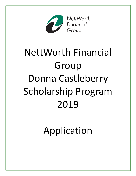

# NettWorth Financial Group Donna Castleberry Scholarship Program 2019

Application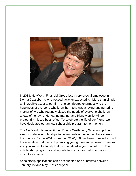

In 2013, NettWorth Financial Group lost a very special employee in Donna Castleberry, who passed away unexpectedly. More than simply an incredible asset to our firm, she contributed enormously to the happiness of everyone who knew her. She was a loving and nurturing mother of two who routinely placed the needs of everyone she knew ahead of her own. Her caring manner and friendly smile will be profoundly missed by all of us. To celebrate the life of our friend, we have dedicated our annual scholarship program to her memory.

The NettWorth Financial Group Donna Castleberry Scholarship Fund awards college scholarships to dependents of union members across the country. Since 2001, more than \$220,000 has been donated to fund the education of dozens of promising young men and women. Chances are, you know of a family that has benefited in your hometown. The scholarship program is a fitting tribute to an individual who gave so much to so many.

Scholarship applications can be requested and submitted between January 1st and May 31st each year.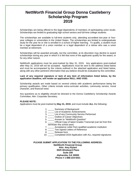# **NettWorth Financial Group Donna Castleberry Scholarship Program 2019**

Scholarships are being offered to the legal dependents of members of participating union locals. Scholarships are limited to graduating high school seniors and full-time college students.

The scholarships are available to full-time students only, attending accredited two-year or fouryear colleges or universities in the United States. The scholarships are limited to undergraduate study for the year he or she is enrolled in a school of higher learning. To qualify, a student must be a legal dependent of a union member or a legal dependent of a retiree who was a union member at retirement.

Scholarships will be awarded annually, but the committee, at its discretion may decline to award scholarships during any year in which it is felt that none of the applicants qualify for the award, or for any other reason.

NettWorth applications must be post-marked by May 31, 2019. Any applications post-marked after May 31, 2019 will not be accepted. Applications must be sent to the address listed below and must be accompanied by the criteria outlined in the attached application and listed below, along with any other pertinent information that you believe should be evaluated by the committee.

#### **Lack of any required signature or lack of any item of information listed below, by the application deadline, will render an application NULL AND VOID.**

Scholarship awards are made based on several criteria with academic performance being the primary qualification. Other criteria include extra-curricular activities, community service, moral character, and financial need.

Any questions as to eligibility should be directed to the Donna Castleberry Scholarship Awards Committee, Attn: Corporate Secretary.

#### **PLEASE NOTE:**

Applications must be post-marked by **May 31, 2019**, and must include **ALL** the following:

- 1. \_\_\_\_\_ Summary of Background
- 2. \_\_\_\_\_ List of Academic Achievements
- 3. \_\_\_\_\_ List of any Community Service Performed
- 4. \_\_\_\_\_ Outline of Career Objectives
- 5. \_\_\_\_\_ Answer to "NettWorth Question"
- 6. \_\_\_\_\_ Official Copy of latest Grades Transcript (can be from first semester this school year)
- 7. \_\_\_\_\_ Acceptance Letter from qualified academic institution
- 8. \_\_\_\_\_ Two signed Letters of Reference
- 9. Release form
- 10. Completed 2019 Application with ALL required signatures

#### **PLEASE SUBMIT APPLICATION TO THE FOLLOWING ADDRESS: NettWorth Financial Group**

**Attn: Amy Rylant 3025 Windward Plaza Suite 250 Alpharetta, GA 30005 Phone # 1-888-224-5021**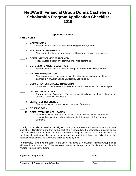# **NettWorth Financial Group Donna Castleberry Scholarship Program Application Checklist 2019**

#### **Applicant's Name\_\_\_\_\_\_\_\_\_\_\_\_\_\_\_\_\_\_\_\_\_\_\_\_\_\_\_\_\_**

## **CHECKLIST**

#### \_\_\_\_ 1. **BACKGROUND**

Please attach a brief summary describing your background.

#### \_\_\_\_ 2**. ACADEMIC ACHIEVEMENTS**

Please attach a list of your academic achievements, honors, and awards.

#### \_\_\_\_ 3. **COMMUNITY SERVICE PERFORMED**

Please attach a list of any community service performed.

#### \_\_\_\_ 4. **OUTLINE OF CAREER OBJECTIVES**

Please attach a brief summary outlining your career objectives, if known.

#### \_\_\_\_ 5. **NETTWORTH QUESTION**

Please compose a brief essay explaining why you believe you should be awarded a NettWorth Donna Castleberry Scholarship.

#### \_\_\_\_ 6. **COPY OF LATEST GRADES TRANSCRIPT**

Grade transcripts may be from the end of the first semester of this school year.

\_\_\_\_ 7. **ACCEPTANCE LETTER** Current Letter of Acceptance (College transcript will qualify if already attending a qualified academic institution.)

#### \_\_\_\_ 8. **LETTERS OF REFERENCE**

Please submit two current, signed Letters of Reference.

#### \_\_\_\_ 9. **RELEASE FORM**

#### \_\_\_\_10. **COMPLETED 2019 APPLICATION**

Please submit this form and the scholarship application with all information requested above attached (Including original signatures of Applicant and Sponsor).

--------------------------------------------------------------------------------------------------------------------------------- I certify that I believe myself to be eligible to apply for the NettWorth Financial Group Donna Castleberry Scholarship and that to the best of my knowledge, the information provided to the Donna Castleberry Scholarship Awards Committee is complete and accurate. I attest that I am the legal dependent of the union member sponsor, and that I have carefully studied the regulations governing this award and agree to abide by them.

Furthermore, I give my permission for the use of my name by NettWorth Financial Group and its affiliates in the promotion of the NettWorth Financial Group Donna Castleberry Scholarship Awards Program in the future.

#### **\_\_\_\_\_\_\_\_\_\_\_\_\_\_\_\_\_\_\_\_\_\_\_\_\_\_\_\_\_\_\_\_\_\_\_\_\_\_\_\_\_\_\_\_\_\_\_\_\_\_\_\_ \_\_\_\_\_\_\_\_\_\_\_\_\_\_\_\_\_\_ Signature of Applicant Community Community Community Community Community Community Community Community Community**

**\_\_\_\_\_\_\_\_\_\_\_\_\_\_\_\_\_\_\_\_\_\_\_\_\_\_\_\_\_\_\_\_\_\_\_\_\_\_\_\_\_\_\_\_\_\_\_\_\_\_\_\_ \_\_\_\_\_\_\_\_\_\_\_\_\_\_\_\_\_\_\_ Signature of Parent or Legal Guardian Date**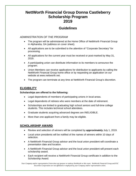# **NettWorth Financial Group Donna Castleberry Scholarship Program 2019**

## **Guidelines**

## *ADMINISTRATION OF THE PROGRAM*

- The program will be administered at the Home Office of NettWorth Financial Group in Alpharetta, GA (address on cover sheet).
- All applications are to be submitted to the attention of "Corporate Secretary" for processing.
- All applications for the current year must be received or post-marked by May 31, 2019.
- A participating union can distribute information to its members to announce the program.
- Union Members can receive applications for distribution to applicants by calling the NettWorth Financial Group home office or by requesting an application on our website at www.nettworth.net.
- The program can terminate at any time at NettWorth Financial Group's discretion.

## **ELIGIBILITY**

#### **Scholarships are offered to the following:**

- Legal dependents of members of participating unions in local areas.
- Legal dependents of retirees who were members at the date of retirement.
- Scholarships are limited to graduating high school seniors and full-time college students. This includes technical school attendees.
- Graduate students acquiring advanced degrees are INELIGIBLE.
- More than one applicant from a family may be eligible.

## **SCHOLARSHIP AWARD**

- Review and selection of winners will be completed by **approximately** July 1, 2019.
- Local union presidents will be notified of the names of winners within 10 days of selection.
- A NettWorth Financial Group advisor and the local union president will coordinate a presentation date and location.
- A NettWorth Financial Group advisor and the local union president will present each scholarship award.
- Each recipient will receive a NettWorth Financial Group certificate in addition to the Scholarship Award.

*Your Company and/or representative Union does not sponsor or endorse NettWorth or this event. NettWorth Financial Group and FSC Securities Corporation are not affiliated or employed by your Company and/or representative union.*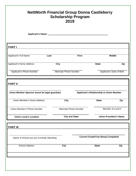| <b>NettWorth Financial Group Donna Castleberry</b><br><b>Scholarship Program</b><br>2019 |                               |                                          |                               |                           |
|------------------------------------------------------------------------------------------|-------------------------------|------------------------------------------|-------------------------------|---------------------------|
|                                                                                          |                               |                                          |                               |                           |
| <b>PARTI</b>                                                                             |                               |                                          |                               |                           |
| Applicant's Full Name                                                                    | Last                          | <b>First</b>                             |                               | <b>Middle</b>             |
| Applicant's Home Address                                                                 | City                          |                                          | <b>State</b>                  | Zip                       |
| Applicant's Phone Number                                                                 | <b>Alternate Phone Number</b> |                                          |                               | Applicant's Date of Birth |
| Union Member Sponsor (must be legal guardian)<br>Union Member's Home Address             | <b>City</b>                   | Applicant's Relationship to Union Member | <b>State</b>                  | Zip                       |
| Union Member's Phone Number                                                              | <b>Alternate Phone Number</b> |                                          | Member of Local #             |                           |
| <b>Union Local's Location</b>                                                            | <b>City and State</b>         |                                          | <b>Union President's Name</b> |                           |
| <b>PART III</b>                                                                          |                               |                                          |                               |                           |
| <b>Current Grade/Year Being Completed</b><br>Name of School you are Currently Attending  |                               |                                          |                               |                           |
| <b>School Address</b>                                                                    | <b>City</b>                   |                                          | <b>State</b>                  | Zip                       |
|                                                                                          |                               |                                          |                               |                           |